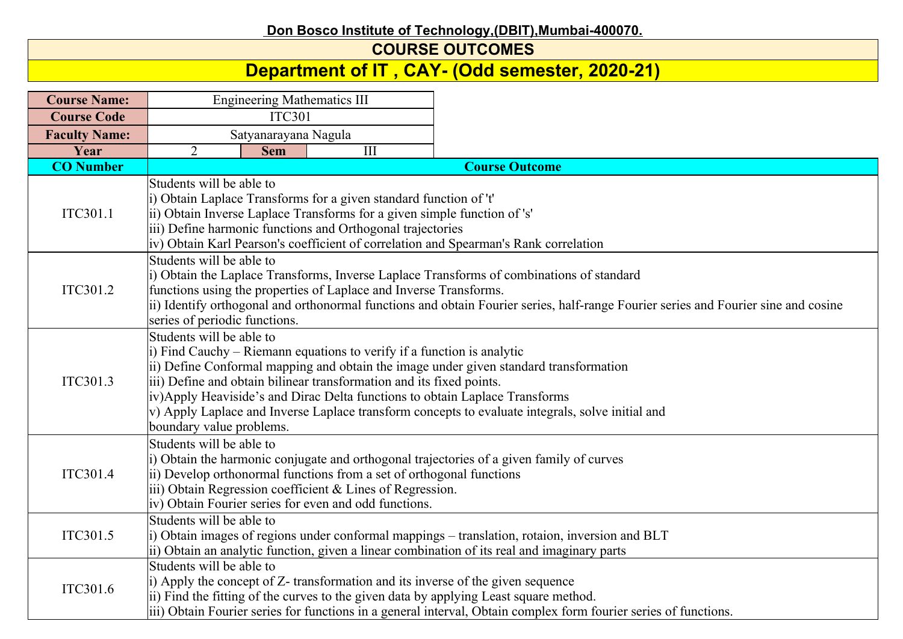## **Don Bosco Institute of Technology,(DBIT),Mumbai-400070.**

## **COURSE OUTCOMES**

## **Department of IT , CAY- (Odd semester, 2020-21)**

| <b>Course Name:</b>  | <b>Engineering Mathematics III</b>                                                                                                                                                                                                                                                                                                                                                                                                                                                 |                                                                                                                                                                                                                                                                                                     |                                                                                                                                                                                                           |  |  |  |
|----------------------|------------------------------------------------------------------------------------------------------------------------------------------------------------------------------------------------------------------------------------------------------------------------------------------------------------------------------------------------------------------------------------------------------------------------------------------------------------------------------------|-----------------------------------------------------------------------------------------------------------------------------------------------------------------------------------------------------------------------------------------------------------------------------------------------------|-----------------------------------------------------------------------------------------------------------------------------------------------------------------------------------------------------------|--|--|--|
| <b>Course Code</b>   | <b>ITC301</b>                                                                                                                                                                                                                                                                                                                                                                                                                                                                      |                                                                                                                                                                                                                                                                                                     |                                                                                                                                                                                                           |  |  |  |
| <b>Faculty Name:</b> | Satyanarayana Nagula                                                                                                                                                                                                                                                                                                                                                                                                                                                               |                                                                                                                                                                                                                                                                                                     |                                                                                                                                                                                                           |  |  |  |
| Year                 | $\overline{2}$<br><b>Sem</b>                                                                                                                                                                                                                                                                                                                                                                                                                                                       | $\overline{III}$                                                                                                                                                                                                                                                                                    |                                                                                                                                                                                                           |  |  |  |
| <b>CO</b> Number     |                                                                                                                                                                                                                                                                                                                                                                                                                                                                                    |                                                                                                                                                                                                                                                                                                     | <b>Course Outcome</b>                                                                                                                                                                                     |  |  |  |
| ITC301.1             | Students will be able to<br>i) Obtain Laplace Transforms for a given standard function of 't'<br>ii) Obtain Inverse Laplace Transforms for a given simple function of 's'<br>iii) Define harmonic functions and Orthogonal trajectories<br>iv) Obtain Karl Pearson's coefficient of correlation and Spearman's Rank correlation                                                                                                                                                    |                                                                                                                                                                                                                                                                                                     |                                                                                                                                                                                                           |  |  |  |
| ITC301.2             | Students will be able to<br>series of periodic functions.                                                                                                                                                                                                                                                                                                                                                                                                                          | i) Obtain the Laplace Transforms, Inverse Laplace Transforms of combinations of standard<br>functions using the properties of Laplace and Inverse Transforms.<br>ii) Identify orthogonal and orthonormal functions and obtain Fourier series, half-range Fourier series and Fourier sine and cosine |                                                                                                                                                                                                           |  |  |  |
| ITC301.3             | Students will be able to<br>i) Find Cauchy – Riemann equations to verify if a function is analytic<br>ii) Define Conformal mapping and obtain the image under given standard transformation<br>iii) Define and obtain bilinear transformation and its fixed points.<br>iv)Apply Heaviside's and Dirac Delta functions to obtain Laplace Transforms<br>v) Apply Laplace and Inverse Laplace transform concepts to evaluate integrals, solve initial and<br>boundary value problems. |                                                                                                                                                                                                                                                                                                     |                                                                                                                                                                                                           |  |  |  |
| ITC301.4             | Students will be able to<br>i) Obtain the harmonic conjugate and orthogonal trajectories of a given family of curves<br>ii) Develop orthonormal functions from a set of orthogonal functions<br>iii) Obtain Regression coefficient & Lines of Regression.<br>iv) Obtain Fourier series for even and odd functions.                                                                                                                                                                 |                                                                                                                                                                                                                                                                                                     |                                                                                                                                                                                                           |  |  |  |
| ITC301.5             | Students will be able to<br>i) Obtain images of regions under conformal mappings – translation, rotaion, inversion and BLT<br>ii) Obtain an analytic function, given a linear combination of its real and imaginary parts                                                                                                                                                                                                                                                          |                                                                                                                                                                                                                                                                                                     |                                                                                                                                                                                                           |  |  |  |
| ITC301.6             | Students will be able to<br>i) Apply the concept of Z- transformation and its inverse of the given sequence                                                                                                                                                                                                                                                                                                                                                                        |                                                                                                                                                                                                                                                                                                     | ii) Find the fitting of the curves to the given data by applying Least square method.<br>iii) Obtain Fourier series for functions in a general interval, Obtain complex form fourier series of functions. |  |  |  |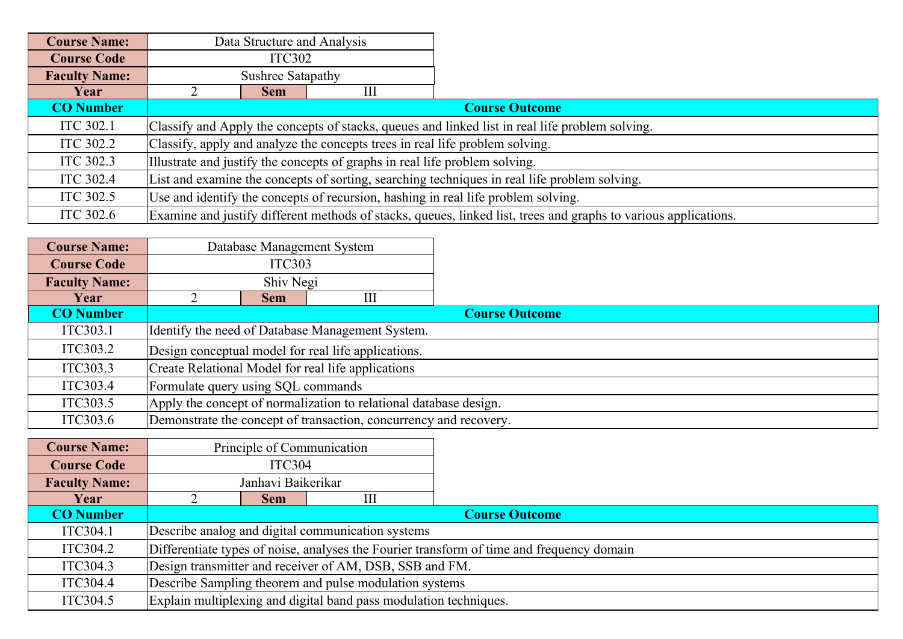| <b>Course Name:</b>  | Data Structure and Analysis |                                                                                              |   |                                                                                                                 |  |  |
|----------------------|-----------------------------|----------------------------------------------------------------------------------------------|---|-----------------------------------------------------------------------------------------------------------------|--|--|
| <b>Course Code</b>   | <b>ITC302</b>               |                                                                                              |   |                                                                                                                 |  |  |
| <b>Faculty Name:</b> |                             | Sushree Satapathy                                                                            |   |                                                                                                                 |  |  |
| Year                 |                             | <b>Sem</b>                                                                                   | Ш |                                                                                                                 |  |  |
| <b>CO</b> Number     |                             |                                                                                              |   | <b>Course Outcome</b>                                                                                           |  |  |
| <b>ITC 302.1</b>     |                             |                                                                                              |   | Classify and Apply the concepts of stacks, queues and linked list in real life problem solving.                 |  |  |
| ITC 302.2            |                             | Classify, apply and analyze the concepts trees in real life problem solving.                 |   |                                                                                                                 |  |  |
| ITC 302.3            |                             | Illustrate and justify the concepts of graphs in real life problem solving.                  |   |                                                                                                                 |  |  |
| <b>ITC 302.4</b>     |                             | List and examine the concepts of sorting, searching techniques in real life problem solving. |   |                                                                                                                 |  |  |
| ITC 302.5            |                             | Use and identify the concepts of recursion, hashing in real life problem solving.            |   |                                                                                                                 |  |  |
| <b>ITC 302.6</b>     |                             |                                                                                              |   | Examine and justify different methods of stacks, queues, linked list, trees and graphs to various applications. |  |  |

| <b>Course Name:</b>  |                                    |               | Database Management System                                        |                       |
|----------------------|------------------------------------|---------------|-------------------------------------------------------------------|-----------------------|
| <b>Course Code</b>   |                                    | <b>ITC303</b> |                                                                   |                       |
| <b>Faculty Name:</b> |                                    | Shiv Negi     |                                                                   |                       |
| Year                 |                                    | <b>Sem</b>    | Ш                                                                 |                       |
| <b>CO</b> Number     |                                    |               |                                                                   | <b>Course Outcome</b> |
| ITC303.1             |                                    |               | Identify the need of Database Management System.                  |                       |
| ITC303.2             |                                    |               | Design conceptual model for real life applications.               |                       |
| ITC303.3             |                                    |               | Create Relational Model for real life applications                |                       |
| ITC303.4             | Formulate query using SQL commands |               |                                                                   |                       |
| ITC303.5             |                                    |               | Apply the concept of normalization to relational database design. |                       |
| ITC303.6             |                                    |               | Demonstrate the concept of transaction, concurrency and recovery. |                       |

| <b>Course Name:</b>  | Principle of Communication                                                                |                                                         |                                                                   |                       |  |  |
|----------------------|-------------------------------------------------------------------------------------------|---------------------------------------------------------|-------------------------------------------------------------------|-----------------------|--|--|
| <b>Course Code</b>   | <b>ITC304</b>                                                                             |                                                         |                                                                   |                       |  |  |
| <b>Faculty Name:</b> | Janhavi Baikerikar                                                                        |                                                         |                                                                   |                       |  |  |
| Year                 |                                                                                           | Sem                                                     | Ш                                                                 |                       |  |  |
| <b>CO</b> Number     |                                                                                           |                                                         |                                                                   | <b>Course Outcome</b> |  |  |
| ITC304.1             |                                                                                           |                                                         | Describe analog and digital communication systems                 |                       |  |  |
| ITC304.2             | Differentiate types of noise, analyses the Fourier transform of time and frequency domain |                                                         |                                                                   |                       |  |  |
| ITC304.3             |                                                                                           | Design transmitter and receiver of AM, DSB, SSB and FM. |                                                                   |                       |  |  |
| ITC304.4             | Describe Sampling theorem and pulse modulation systems                                    |                                                         |                                                                   |                       |  |  |
| ITC304.5             |                                                                                           |                                                         | Explain multiplexing and digital band pass modulation techniques. |                       |  |  |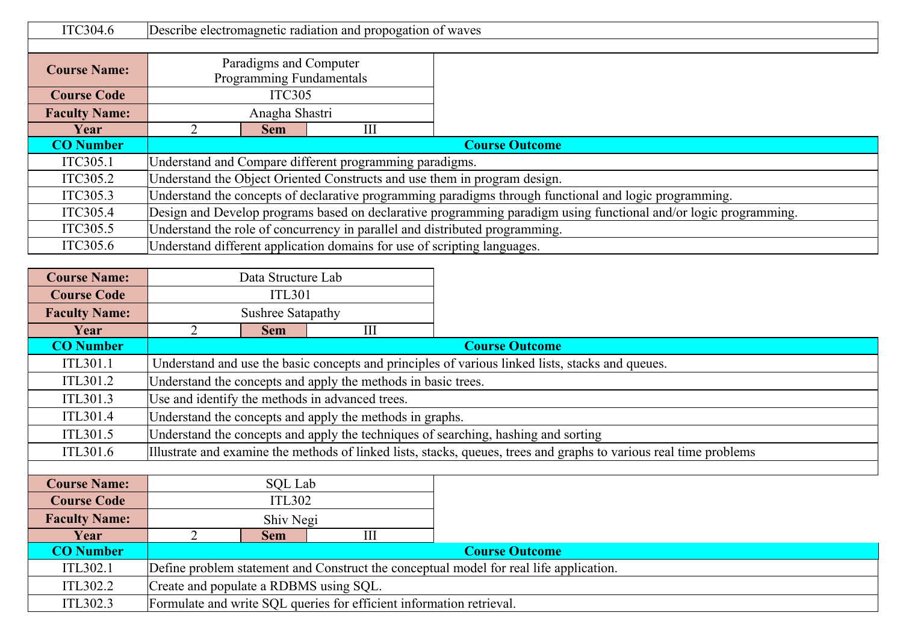| ITC304.6             |                                                                                                                  | Describe electromagnetic radiation and propogation of waves                 |                                                                          |  |  |  |
|----------------------|------------------------------------------------------------------------------------------------------------------|-----------------------------------------------------------------------------|--------------------------------------------------------------------------|--|--|--|
|                      |                                                                                                                  |                                                                             |                                                                          |  |  |  |
| <b>Course Name:</b>  | Paradigms and Computer                                                                                           |                                                                             |                                                                          |  |  |  |
|                      |                                                                                                                  | Programming Fundamentals                                                    |                                                                          |  |  |  |
| <b>Course Code</b>   |                                                                                                                  | <b>ITC305</b>                                                               |                                                                          |  |  |  |
| <b>Faculty Name:</b> |                                                                                                                  | Anagha Shastri                                                              |                                                                          |  |  |  |
| Year                 |                                                                                                                  | <b>Sem</b>                                                                  | Ш                                                                        |  |  |  |
| <b>CO</b> Number     |                                                                                                                  | <b>Course Outcome</b>                                                       |                                                                          |  |  |  |
| ITC305.1             |                                                                                                                  | Understand and Compare different programming paradigms.                     |                                                                          |  |  |  |
| ITC305.2             |                                                                                                                  | Understand the Object Oriented Constructs and use them in program design.   |                                                                          |  |  |  |
| ITC305.3             | Understand the concepts of declarative programming paradigms through functional and logic programming.           |                                                                             |                                                                          |  |  |  |
| ITC305.4             | Design and Develop programs based on declarative programming paradigm using functional and/or logic programming. |                                                                             |                                                                          |  |  |  |
| ITC305.5             |                                                                                                                  | Understand the role of concurrency in parallel and distributed programming. |                                                                          |  |  |  |
| ITC305.6             |                                                                                                                  |                                                                             | Understand different application domains for use of scripting languages. |  |  |  |

| <b>Course Name:</b>  | Data Structure Lab                                                                     |                          |                                                                      |                                                                                                                    |  |  |
|----------------------|----------------------------------------------------------------------------------------|--------------------------|----------------------------------------------------------------------|--------------------------------------------------------------------------------------------------------------------|--|--|
| <b>Course Code</b>   |                                                                                        | <b>ITL301</b>            |                                                                      |                                                                                                                    |  |  |
| <b>Faculty Name:</b> |                                                                                        | <b>Sushree Satapathy</b> |                                                                      |                                                                                                                    |  |  |
| Year                 | 2                                                                                      | <b>Sem</b>               | III                                                                  |                                                                                                                    |  |  |
| <b>CO</b> Number     |                                                                                        |                          |                                                                      | <b>Course Outcome</b>                                                                                              |  |  |
| ITL301.1             |                                                                                        |                          |                                                                      | Understand and use the basic concepts and principles of various linked lists, stacks and queues.                   |  |  |
| ITL301.2             |                                                                                        |                          | Understand the concepts and apply the methods in basic trees.        |                                                                                                                    |  |  |
| ITL301.3             |                                                                                        |                          | Use and identify the methods in advanced trees.                      |                                                                                                                    |  |  |
| ITL301.4             |                                                                                        |                          | Understand the concepts and apply the methods in graphs.             |                                                                                                                    |  |  |
| ITL301.5             | Understand the concepts and apply the techniques of searching, hashing and sorting     |                          |                                                                      |                                                                                                                    |  |  |
| ITL301.6             |                                                                                        |                          |                                                                      | Illustrate and examine the methods of linked lists, stacks, queues, trees and graphs to various real time problems |  |  |
|                      |                                                                                        |                          |                                                                      |                                                                                                                    |  |  |
| <b>Course Name:</b>  |                                                                                        | SQL Lab                  |                                                                      |                                                                                                                    |  |  |
| <b>Course Code</b>   |                                                                                        | <b>ITL302</b>            |                                                                      |                                                                                                                    |  |  |
| <b>Faculty Name:</b> | Shiv Negi                                                                              |                          |                                                                      |                                                                                                                    |  |  |
| Year                 | $\overline{2}$<br>III<br><b>Sem</b>                                                    |                          |                                                                      |                                                                                                                    |  |  |
| <b>CO</b> Number     |                                                                                        |                          |                                                                      | <b>Course Outcome</b>                                                                                              |  |  |
| ITL302.1             | Define problem statement and Construct the conceptual model for real life application. |                          |                                                                      |                                                                                                                    |  |  |
| ITL302.2             | Create and populate a RDBMS using SQL.                                                 |                          |                                                                      |                                                                                                                    |  |  |
| ITL302.3             |                                                                                        |                          | Formulate and write SQL queries for efficient information retrieval. |                                                                                                                    |  |  |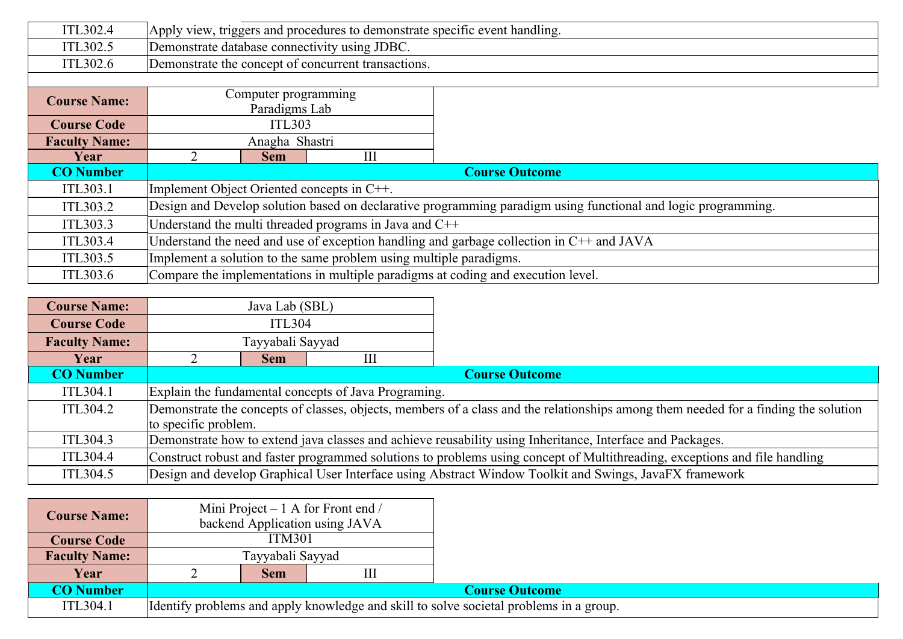| ITL302.4             | Apply view, triggers and procedures to demonstrate specific event handling.                |                                                                                                               |                                                                    |                                                                                  |  |  |
|----------------------|--------------------------------------------------------------------------------------------|---------------------------------------------------------------------------------------------------------------|--------------------------------------------------------------------|----------------------------------------------------------------------------------|--|--|
| ITL302.5             |                                                                                            | Demonstrate database connectivity using JDBC.                                                                 |                                                                    |                                                                                  |  |  |
| ITL302.6             |                                                                                            |                                                                                                               | Demonstrate the concept of concurrent transactions.                |                                                                                  |  |  |
|                      |                                                                                            |                                                                                                               |                                                                    |                                                                                  |  |  |
| <b>Course Name:</b>  |                                                                                            | Computer programming                                                                                          |                                                                    |                                                                                  |  |  |
|                      |                                                                                            | Paradigms Lab                                                                                                 |                                                                    |                                                                                  |  |  |
| <b>Course Code</b>   |                                                                                            | <b>ITL303</b>                                                                                                 |                                                                    |                                                                                  |  |  |
| <b>Faculty Name:</b> |                                                                                            | Anagha Shastri                                                                                                |                                                                    |                                                                                  |  |  |
| Year                 |                                                                                            | <b>Sem</b>                                                                                                    | Ш                                                                  |                                                                                  |  |  |
| <b>CO</b> Number     |                                                                                            | <b>Course Outcome</b>                                                                                         |                                                                    |                                                                                  |  |  |
| ITL303.1             | Implement Object Oriented concepts in C++.                                                 |                                                                                                               |                                                                    |                                                                                  |  |  |
| ITL303.2             |                                                                                            | Design and Develop solution based on declarative programming paradigm using functional and logic programming. |                                                                    |                                                                                  |  |  |
| ITL303.3             | Understand the multi threaded programs in Java and $C++$                                   |                                                                                                               |                                                                    |                                                                                  |  |  |
| ITL303.4             | Understand the need and use of exception handling and garbage collection in $C++$ and JAVA |                                                                                                               |                                                                    |                                                                                  |  |  |
| ITL303.5             |                                                                                            |                                                                                                               | Implement a solution to the same problem using multiple paradigms. |                                                                                  |  |  |
| ITL303.6             |                                                                                            |                                                                                                               |                                                                    | Compare the implementations in multiple paradigms at coding and execution level. |  |  |

| <b>Course Name:</b>  |                                                                                                                            | Java Lab (SBL)       |                                                      |                                                                                                                                     |  |  |
|----------------------|----------------------------------------------------------------------------------------------------------------------------|----------------------|------------------------------------------------------|-------------------------------------------------------------------------------------------------------------------------------------|--|--|
| <b>Course Code</b>   | <b>ITL304</b>                                                                                                              |                      |                                                      |                                                                                                                                     |  |  |
| <b>Faculty Name:</b> |                                                                                                                            | Tayyabali Sayyad     |                                                      |                                                                                                                                     |  |  |
| Year                 |                                                                                                                            | <b>Sem</b>           | Ш                                                    |                                                                                                                                     |  |  |
| <b>CO</b> Number     |                                                                                                                            |                      |                                                      | <b>Course Outcome</b>                                                                                                               |  |  |
| ITL304.1             |                                                                                                                            |                      | Explain the fundamental concepts of Java Programing. |                                                                                                                                     |  |  |
| ITL304.2             |                                                                                                                            |                      |                                                      | Demonstrate the concepts of classes, objects, members of a class and the relationships among them needed for a finding the solution |  |  |
|                      |                                                                                                                            | to specific problem. |                                                      |                                                                                                                                     |  |  |
| ITL304.3             | Demonstrate how to extend java classes and achieve reusability using Inheritance, Interface and Packages.                  |                      |                                                      |                                                                                                                                     |  |  |
| ITL304.4             | Construct robust and faster programmed solutions to problems using concept of Multithreading, exceptions and file handling |                      |                                                      |                                                                                                                                     |  |  |
| ITL304.5             |                                                                                                                            |                      |                                                      | Design and develop Graphical User Interface using Abstract Window Toolkit and Swings, JavaFX framework                              |  |  |

| <b>Course Name:</b>  |                       |                  | Mini Project $-1$ A for Front end /<br>backend Application using JAVA |                                                                                        |  |  |
|----------------------|-----------------------|------------------|-----------------------------------------------------------------------|----------------------------------------------------------------------------------------|--|--|
| <b>Course Code</b>   |                       | <b>ITM301</b>    |                                                                       |                                                                                        |  |  |
| <b>Faculty Name:</b> |                       | Tayyabali Sayyad |                                                                       |                                                                                        |  |  |
| Year                 | Ш<br><b>Sem</b>       |                  |                                                                       |                                                                                        |  |  |
| <b>CO Number</b>     | <b>Course Outcome</b> |                  |                                                                       |                                                                                        |  |  |
| ITL304.1             |                       |                  |                                                                       | Identify problems and apply knowledge and skill to solve societal problems in a group. |  |  |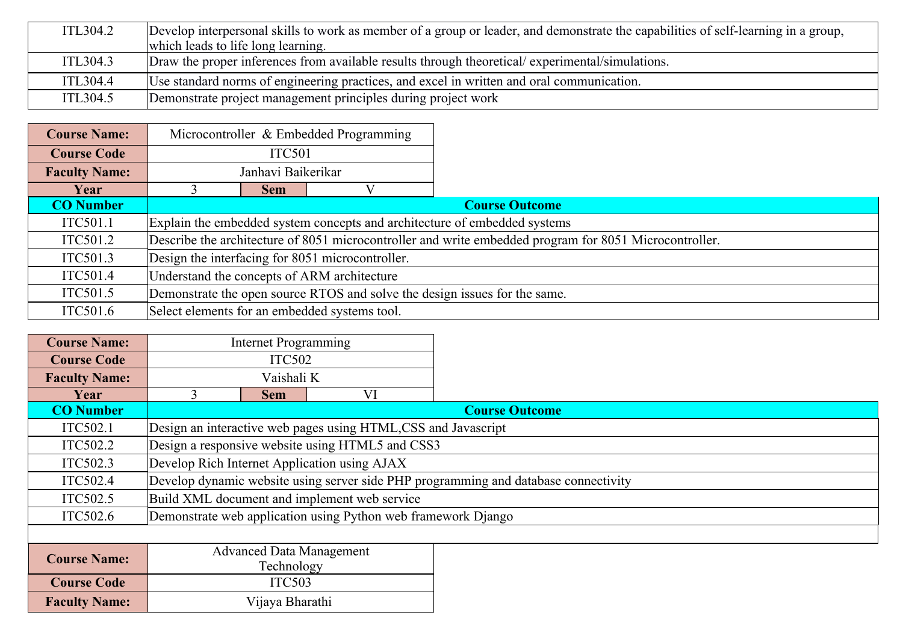| ITL304.2 | Develop interpersonal skills to work as member of a group or leader, and demonstrate the capabilities of self-learning in a group, |
|----------|------------------------------------------------------------------------------------------------------------------------------------|
|          | which leads to life long learning.                                                                                                 |
| ITL304.3 | Draw the proper inferences from available results through theoretical/experimental/simulations.                                    |
| ITL304.4 | Use standard norms of engineering practices, and excel in written and oral communication.                                          |
| ITL304.5 | Demonstrate project management principles during project work                                                                      |

| <b>Course Name:</b>  |                                                                            |                                                                                                        | Microcontroller & Embedded Programming        |                                                                           |  |  |
|----------------------|----------------------------------------------------------------------------|--------------------------------------------------------------------------------------------------------|-----------------------------------------------|---------------------------------------------------------------------------|--|--|
| <b>Course Code</b>   |                                                                            | <b>ITC501</b>                                                                                          |                                               |                                                                           |  |  |
| <b>Faculty Name:</b> | Janhavi Baikerikar                                                         |                                                                                                        |                                               |                                                                           |  |  |
| Year                 |                                                                            | <b>Sem</b>                                                                                             |                                               |                                                                           |  |  |
| <b>CO</b> Number     |                                                                            |                                                                                                        |                                               | <b>Course Outcome</b>                                                     |  |  |
| ITC501.1             |                                                                            |                                                                                                        |                                               | Explain the embedded system concepts and architecture of embedded systems |  |  |
| ITC501.2             |                                                                            | Describe the architecture of 8051 microcontroller and write embedded program for 8051 Microcontroller. |                                               |                                                                           |  |  |
| ITC501.3             |                                                                            | Design the interfacing for 8051 microcontroller.                                                       |                                               |                                                                           |  |  |
| ITC501.4             |                                                                            | Understand the concepts of ARM architecture                                                            |                                               |                                                                           |  |  |
| ITC501.5             | Demonstrate the open source RTOS and solve the design issues for the same. |                                                                                                        |                                               |                                                                           |  |  |
| ITC501.6             |                                                                            |                                                                                                        | Select elements for an embedded systems tool. |                                                                           |  |  |

| <b>Course Name:</b>  | <b>Internet Programming</b>                  |                                                                                     |                                                                |                       |  |  |  |
|----------------------|----------------------------------------------|-------------------------------------------------------------------------------------|----------------------------------------------------------------|-----------------------|--|--|--|
| <b>Course Code</b>   | <b>ITC502</b>                                |                                                                                     |                                                                |                       |  |  |  |
| <b>Faculty Name:</b> |                                              | Vaishali K                                                                          |                                                                |                       |  |  |  |
| Year                 | $\blacktriangleleft$                         | <b>Sem</b>                                                                          | VI                                                             |                       |  |  |  |
| <b>CO</b> Number     |                                              |                                                                                     |                                                                | <b>Course Outcome</b> |  |  |  |
| ITC502.1             |                                              |                                                                                     | Design an interactive web pages using HTML, CSS and Javascript |                       |  |  |  |
| ITC502.2             |                                              |                                                                                     | Design a responsive website using HTML5 and CSS3               |                       |  |  |  |
| ITC502.3             |                                              | Develop Rich Internet Application using AJAX                                        |                                                                |                       |  |  |  |
| ITC502.4             |                                              | Develop dynamic website using server side PHP programming and database connectivity |                                                                |                       |  |  |  |
| ITC502.5             | Build XML document and implement web service |                                                                                     |                                                                |                       |  |  |  |
| ITC502.6             |                                              | Demonstrate web application using Python web framework Django                       |                                                                |                       |  |  |  |
|                      |                                              |                                                                                     |                                                                |                       |  |  |  |
| <b>Course Name:</b>  |                                              | <b>Advanced Data Management</b>                                                     |                                                                |                       |  |  |  |
|                      |                                              | Technology                                                                          |                                                                |                       |  |  |  |
| <b>Course Code</b>   |                                              | <b>ITC503</b>                                                                       |                                                                |                       |  |  |  |
| <b>Faculty Name:</b> |                                              | Vijaya Bharathi                                                                     |                                                                |                       |  |  |  |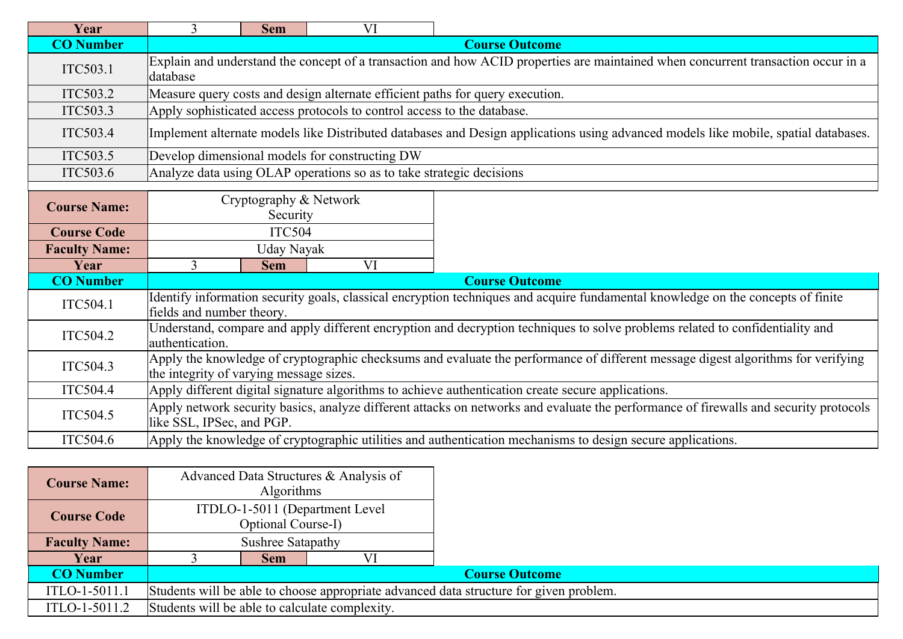| Year                 | $\mathbf{3}$                                                                                                                                                                | <b>Sem</b>                                                                                                                                                    | VI                                                                      |                                                                                                                                       |  |  |  |  |
|----------------------|-----------------------------------------------------------------------------------------------------------------------------------------------------------------------------|---------------------------------------------------------------------------------------------------------------------------------------------------------------|-------------------------------------------------------------------------|---------------------------------------------------------------------------------------------------------------------------------------|--|--|--|--|
| <b>CO</b> Number     |                                                                                                                                                                             | <b>Course Outcome</b>                                                                                                                                         |                                                                         |                                                                                                                                       |  |  |  |  |
| ITC503.1             | Explain and understand the concept of a transaction and how ACID properties are maintained when concurrent transaction occur in a<br>database                               |                                                                                                                                                               |                                                                         |                                                                                                                                       |  |  |  |  |
| ITC503.2             |                                                                                                                                                                             |                                                                                                                                                               |                                                                         | Measure query costs and design alternate efficient paths for query execution.                                                         |  |  |  |  |
| ITC503.3             |                                                                                                                                                                             |                                                                                                                                                               | Apply sophisticated access protocols to control access to the database. |                                                                                                                                       |  |  |  |  |
| ITC503.4             |                                                                                                                                                                             |                                                                                                                                                               |                                                                         | Implement alternate models like Distributed databases and Design applications using advanced models like mobile, spatial databases.   |  |  |  |  |
| ITC503.5             |                                                                                                                                                                             |                                                                                                                                                               | Develop dimensional models for constructing DW                          |                                                                                                                                       |  |  |  |  |
| ITC503.6             |                                                                                                                                                                             |                                                                                                                                                               | Analyze data using OLAP operations so as to take strategic decisions    |                                                                                                                                       |  |  |  |  |
| <b>Course Name:</b>  | Cryptography & Network<br>Security                                                                                                                                          |                                                                                                                                                               |                                                                         |                                                                                                                                       |  |  |  |  |
| <b>Course Code</b>   |                                                                                                                                                                             | <b>ITC504</b>                                                                                                                                                 |                                                                         |                                                                                                                                       |  |  |  |  |
| <b>Faculty Name:</b> |                                                                                                                                                                             | Uday Nayak                                                                                                                                                    |                                                                         |                                                                                                                                       |  |  |  |  |
| Year                 | 3                                                                                                                                                                           | <b>Sem</b>                                                                                                                                                    | VI                                                                      |                                                                                                                                       |  |  |  |  |
| <b>CO</b> Number     | <b>Course Outcome</b>                                                                                                                                                       |                                                                                                                                                               |                                                                         |                                                                                                                                       |  |  |  |  |
| ITC504.1             |                                                                                                                                                                             | Identify information security goals, classical encryption techniques and acquire fundamental knowledge on the concepts of finite<br>fields and number theory. |                                                                         |                                                                                                                                       |  |  |  |  |
| ITC504.2             | Understand, compare and apply different encryption and decryption techniques to solve problems related to confidentiality and<br>authentication.                            |                                                                                                                                                               |                                                                         |                                                                                                                                       |  |  |  |  |
| ITC504.3             | Apply the knowledge of cryptographic checksums and evaluate the performance of different message digest algorithms for verifying<br>the integrity of varying message sizes. |                                                                                                                                                               |                                                                         |                                                                                                                                       |  |  |  |  |
| ITC504.4             |                                                                                                                                                                             |                                                                                                                                                               |                                                                         | Apply different digital signature algorithms to achieve authentication create secure applications.                                    |  |  |  |  |
| ITC504.5             | like SSL, IPSec, and PGP.                                                                                                                                                   |                                                                                                                                                               |                                                                         | Apply network security basics, analyze different attacks on networks and evaluate the performance of firewalls and security protocols |  |  |  |  |
| ITC504.6             |                                                                                                                                                                             |                                                                                                                                                               |                                                                         | Apply the knowledge of cryptographic utilities and authentication mechanisms to design secure applications.                           |  |  |  |  |

| <b>Course Name:</b>  |                                                                                        | <b>Algorithms</b>  | Advanced Data Structures & Analysis of |  |  |  |  |
|----------------------|----------------------------------------------------------------------------------------|--------------------|----------------------------------------|--|--|--|--|
| <b>Course Code</b>   |                                                                                        | Optional Course-I) | ITDLO-1-5011 (Department Level         |  |  |  |  |
| <b>Faculty Name:</b> |                                                                                        | Sushree Satapathy  |                                        |  |  |  |  |
| Year                 | VI<br><b>Sem</b>                                                                       |                    |                                        |  |  |  |  |
| <b>CO</b> Number     | <b>Course Outcome</b>                                                                  |                    |                                        |  |  |  |  |
| ITLO-1-5011.1        | Students will be able to choose appropriate advanced data structure for given problem. |                    |                                        |  |  |  |  |
| ITLO-1-5011.2        | Students will be able to calculate complexity.                                         |                    |                                        |  |  |  |  |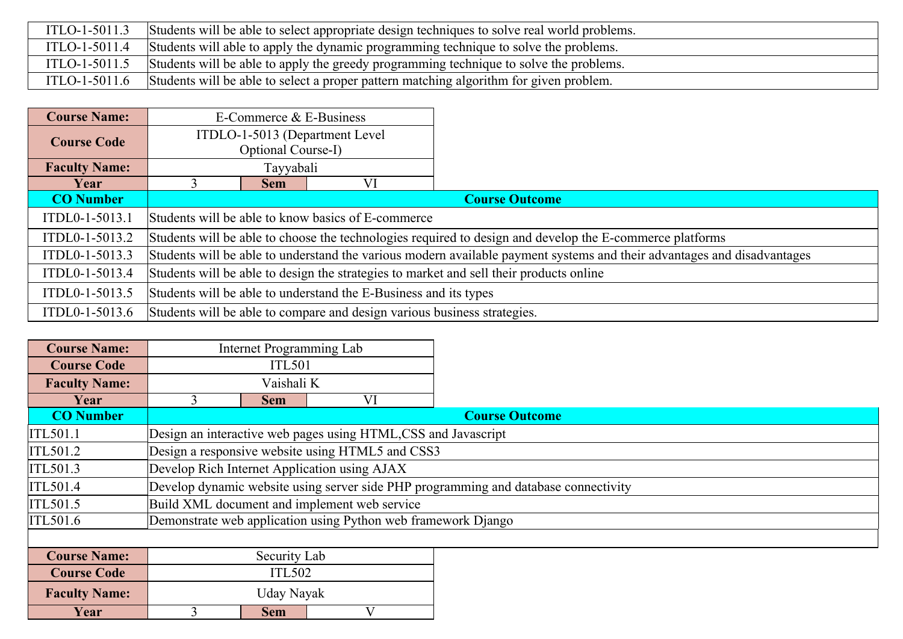| ITLO-1-5011.3 | Students will be able to select appropriate design techniques to solve real world problems.          |
|---------------|------------------------------------------------------------------------------------------------------|
|               | ITLO-1-5011.4 Students will able to apply the dynamic programming technique to solve the problems.   |
|               | ITLO-1-5011.5 Students will be able to apply the greedy programming technique to solve the problems. |
|               | ITLO-1-5011.6 Students will be able to select a proper pattern matching algorithm for given problem. |

| <b>Course Name:</b>  |                                                                                                                         | E-Commerce & E-Business                                                                                  |                                                                          |                       |  |  |  |
|----------------------|-------------------------------------------------------------------------------------------------------------------------|----------------------------------------------------------------------------------------------------------|--------------------------------------------------------------------------|-----------------------|--|--|--|
| <b>Course Code</b>   | ITDLO-1-5013 (Department Level                                                                                          |                                                                                                          |                                                                          |                       |  |  |  |
|                      |                                                                                                                         | Optional Course-I)                                                                                       |                                                                          |                       |  |  |  |
| <b>Faculty Name:</b> |                                                                                                                         | Tayyabali                                                                                                |                                                                          |                       |  |  |  |
| Year                 |                                                                                                                         | <b>Sem</b>                                                                                               | VI                                                                       |                       |  |  |  |
| <b>CO</b> Number     |                                                                                                                         |                                                                                                          |                                                                          | <b>Course Outcome</b> |  |  |  |
| ITDL0-1-5013.1       |                                                                                                                         | Students will be able to know basics of E-commerce                                                       |                                                                          |                       |  |  |  |
| ITDL0-1-5013.2       |                                                                                                                         | Students will be able to choose the technologies required to design and develop the E-commerce platforms |                                                                          |                       |  |  |  |
| ITDL0-1-5013.3       | Students will be able to understand the various modern available payment systems and their advantages and disadvantages |                                                                                                          |                                                                          |                       |  |  |  |
| ITDL0-1-5013.4       | Students will be able to design the strategies to market and sell their products online                                 |                                                                                                          |                                                                          |                       |  |  |  |
| ITDL0-1-5013.5       |                                                                                                                         | Students will be able to understand the E-Business and its types                                         |                                                                          |                       |  |  |  |
| ITDL0-1-5013.6       |                                                                                                                         |                                                                                                          | Students will be able to compare and design various business strategies. |                       |  |  |  |

| <b>Course Name:</b>  |                                              | Internet Programming Lab                                                            |                                                               |                       |  |  |  |
|----------------------|----------------------------------------------|-------------------------------------------------------------------------------------|---------------------------------------------------------------|-----------------------|--|--|--|
| <b>Course Code</b>   |                                              | <b>ITL501</b>                                                                       |                                                               |                       |  |  |  |
| <b>Faculty Name:</b> |                                              | Vaishali K                                                                          |                                                               |                       |  |  |  |
| Year                 | 3                                            | <b>Sem</b>                                                                          | VI                                                            |                       |  |  |  |
| <b>CO</b> Number     |                                              |                                                                                     |                                                               | <b>Course Outcome</b> |  |  |  |
| ITL501.1             |                                              |                                                                                     | Design an interactive web pages using HTML,CSS and Javascript |                       |  |  |  |
| ITL501.2             |                                              |                                                                                     | Design a responsive website using HTML5 and CSS3              |                       |  |  |  |
| ITL501.3             |                                              |                                                                                     | Develop Rich Internet Application using AJAX                  |                       |  |  |  |
| ITL501.4             |                                              | Develop dynamic website using server side PHP programming and database connectivity |                                                               |                       |  |  |  |
| ITL501.5             | Build XML document and implement web service |                                                                                     |                                                               |                       |  |  |  |
| ITL501.6             |                                              |                                                                                     | Demonstrate web application using Python web framework Django |                       |  |  |  |
|                      |                                              |                                                                                     |                                                               |                       |  |  |  |
| <b>Course Name:</b>  |                                              | Security Lab                                                                        |                                                               |                       |  |  |  |
| <b>Course Code</b>   |                                              | <b>ITL502</b>                                                                       |                                                               |                       |  |  |  |
| <b>Faculty Name:</b> |                                              | Uday Nayak                                                                          |                                                               |                       |  |  |  |
| Year                 |                                              | <b>Sem</b>                                                                          |                                                               |                       |  |  |  |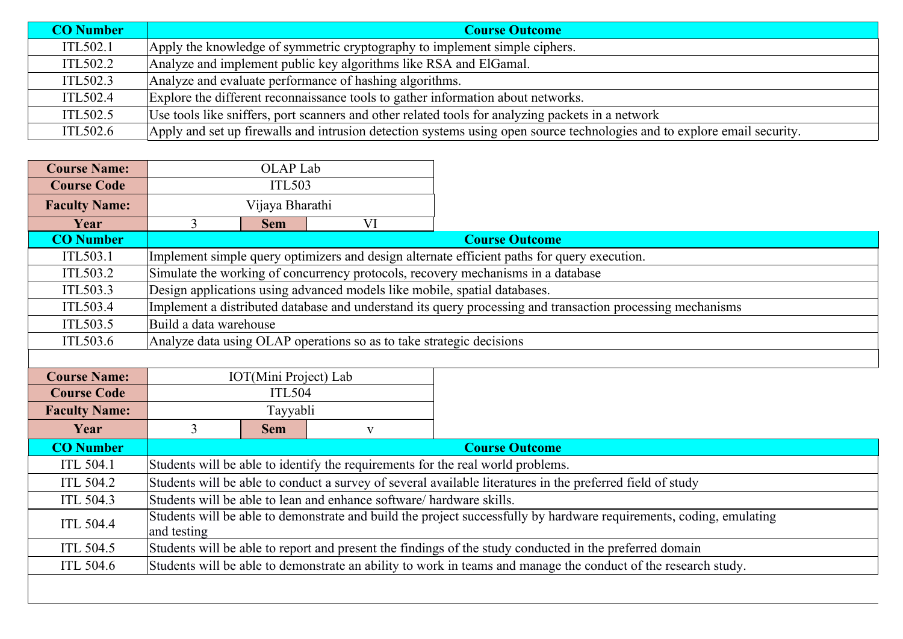| <b>CO Number</b> | <b>Course Outcome</b>                                                                                                    |
|------------------|--------------------------------------------------------------------------------------------------------------------------|
| ITL502.1         | Apply the knowledge of symmetric cryptography to implement simple ciphers.                                               |
| ITL502.2         | Analyze and implement public key algorithms like RSA and ElGamal.                                                        |
| ITL502.3         | Analyze and evaluate performance of hashing algorithms.                                                                  |
| ITL502.4         | Explore the different reconnaissance tools to gather information about networks.                                         |
| ITL502.5         | Use tools like sniffers, port scanners and other related tools for analyzing packets in a network                        |
| ITL502.6         | Apply and set up firewalls and intrusion detection systems using open source technologies and to explore email security. |

| <b>Course Name:</b>  |                                                                                                                     | OLAP Lab              |                                                                           |                                                                                                                |  |  |
|----------------------|---------------------------------------------------------------------------------------------------------------------|-----------------------|---------------------------------------------------------------------------|----------------------------------------------------------------------------------------------------------------|--|--|
| <b>Course Code</b>   | <b>ITL503</b>                                                                                                       |                       |                                                                           |                                                                                                                |  |  |
| <b>Faculty Name:</b> |                                                                                                                     | Vijaya Bharathi       |                                                                           |                                                                                                                |  |  |
| Year                 | 3 <sup>1</sup>                                                                                                      | <b>Sem</b>            | VI                                                                        |                                                                                                                |  |  |
| <b>CO</b> Number     |                                                                                                                     |                       |                                                                           | <b>Course Outcome</b>                                                                                          |  |  |
| ITL503.1             |                                                                                                                     |                       |                                                                           | Implement simple query optimizers and design alternate efficient paths for query execution.                    |  |  |
| ITL503.2             |                                                                                                                     |                       |                                                                           | Simulate the working of concurrency protocols, recovery mechanisms in a database                               |  |  |
| ITL503.3             |                                                                                                                     |                       | Design applications using advanced models like mobile, spatial databases. |                                                                                                                |  |  |
| ITL503.4             |                                                                                                                     |                       |                                                                           | Implement a distributed database and understand its query processing and transaction processing mechanisms     |  |  |
| ITL503.5             | Build a data warehouse                                                                                              |                       |                                                                           |                                                                                                                |  |  |
| ITL503.6             |                                                                                                                     |                       | Analyze data using OLAP operations so as to take strategic decisions      |                                                                                                                |  |  |
|                      |                                                                                                                     |                       |                                                                           |                                                                                                                |  |  |
| <b>Course Name:</b>  |                                                                                                                     | IOT(Mini Project) Lab |                                                                           |                                                                                                                |  |  |
| <b>Course Code</b>   |                                                                                                                     | <b>ITL504</b>         |                                                                           |                                                                                                                |  |  |
| <b>Faculty Name:</b> |                                                                                                                     | Tayyabli              |                                                                           |                                                                                                                |  |  |
| Year                 | $\overline{3}$                                                                                                      | <b>Sem</b>            | $\mathbf{V}$                                                              |                                                                                                                |  |  |
| <b>CO Number</b>     |                                                                                                                     |                       |                                                                           | <b>Course Outcome</b>                                                                                          |  |  |
| <b>ITL 504.1</b>     |                                                                                                                     |                       |                                                                           | Students will be able to identify the requirements for the real world problems.                                |  |  |
| <b>ITL 504.2</b>     | Students will be able to conduct a survey of several available literatures in the preferred field of study          |                       |                                                                           |                                                                                                                |  |  |
| <b>ITL 504.3</b>     | Students will be able to lean and enhance software/hardware skills.                                                 |                       |                                                                           |                                                                                                                |  |  |
| <b>ITL 504.4</b>     | Students will be able to demonstrate and build the project successfully by hardware requirements, coding, emulating |                       |                                                                           |                                                                                                                |  |  |
|                      | and testing                                                                                                         |                       |                                                                           |                                                                                                                |  |  |
| <b>ITL 504.5</b>     |                                                                                                                     |                       |                                                                           | Students will be able to report and present the findings of the study conducted in the preferred domain        |  |  |
| <b>ITL 504.6</b>     |                                                                                                                     |                       |                                                                           | Students will be able to demonstrate an ability to work in teams and manage the conduct of the research study. |  |  |
|                      |                                                                                                                     |                       |                                                                           |                                                                                                                |  |  |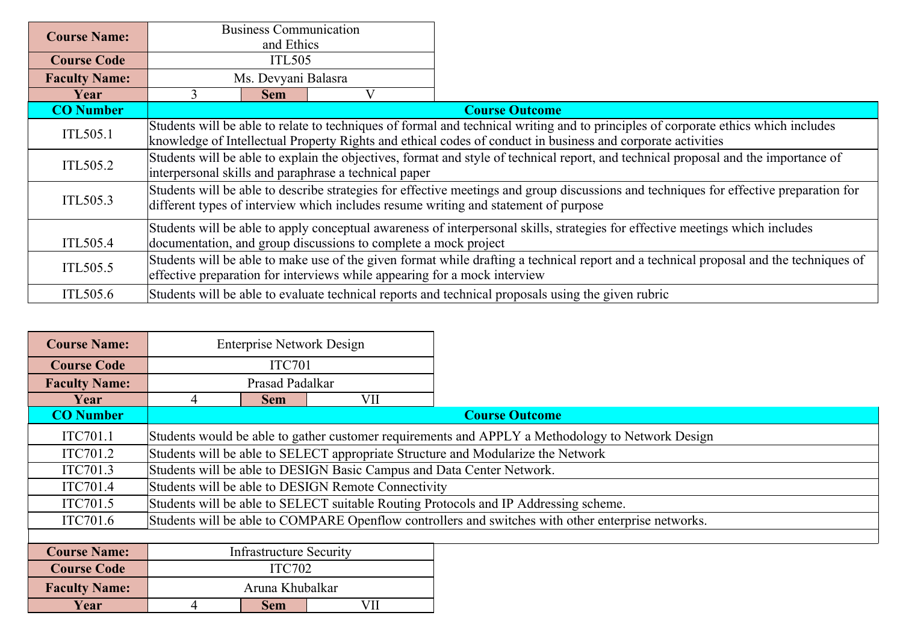| <b>Course Name:</b>                                                                             | <b>Business Communication</b>                                                                               |                                                                                                                                        |                                                                           |                                                                                                                                        |  |  |  |
|-------------------------------------------------------------------------------------------------|-------------------------------------------------------------------------------------------------------------|----------------------------------------------------------------------------------------------------------------------------------------|---------------------------------------------------------------------------|----------------------------------------------------------------------------------------------------------------------------------------|--|--|--|
|                                                                                                 |                                                                                                             | and Ethics                                                                                                                             |                                                                           |                                                                                                                                        |  |  |  |
| <b>Course Code</b>                                                                              |                                                                                                             | <b>ITL505</b>                                                                                                                          |                                                                           |                                                                                                                                        |  |  |  |
| <b>Faculty Name:</b>                                                                            |                                                                                                             | Ms. Devyani Balasra                                                                                                                    |                                                                           |                                                                                                                                        |  |  |  |
| Year                                                                                            |                                                                                                             | <b>Sem</b>                                                                                                                             | V                                                                         |                                                                                                                                        |  |  |  |
| <b>CO</b> Number                                                                                |                                                                                                             |                                                                                                                                        |                                                                           | <b>Course Outcome</b>                                                                                                                  |  |  |  |
| ITL505.1                                                                                        |                                                                                                             |                                                                                                                                        |                                                                           | Students will be able to relate to techniques of formal and technical writing and to principles of corporate ethics which includes     |  |  |  |
|                                                                                                 | knowledge of Intellectual Property Rights and ethical codes of conduct in business and corporate activities |                                                                                                                                        |                                                                           |                                                                                                                                        |  |  |  |
| ITL505.2                                                                                        |                                                                                                             |                                                                                                                                        |                                                                           | Students will be able to explain the objectives, format and style of technical report, and technical proposal and the importance of    |  |  |  |
|                                                                                                 | interpersonal skills and paraphrase a technical paper                                                       |                                                                                                                                        |                                                                           |                                                                                                                                        |  |  |  |
|                                                                                                 |                                                                                                             |                                                                                                                                        |                                                                           | Students will be able to describe strategies for effective meetings and group discussions and techniques for effective preparation for |  |  |  |
| ITL505.3<br>different types of interview which includes resume writing and statement of purpose |                                                                                                             |                                                                                                                                        |                                                                           |                                                                                                                                        |  |  |  |
|                                                                                                 |                                                                                                             | Students will be able to apply conceptual awareness of interpersonal skills, strategies for effective meetings which includes          |                                                                           |                                                                                                                                        |  |  |  |
| ITL505.4                                                                                        | documentation, and group discussions to complete a mock project                                             |                                                                                                                                        |                                                                           |                                                                                                                                        |  |  |  |
|                                                                                                 |                                                                                                             | Students will be able to make use of the given format while drafting a technical report and a technical proposal and the techniques of |                                                                           |                                                                                                                                        |  |  |  |
| ITL505.5                                                                                        |                                                                                                             |                                                                                                                                        | effective preparation for interviews while appearing for a mock interview |                                                                                                                                        |  |  |  |
| ITL505.6                                                                                        |                                                                                                             |                                                                                                                                        |                                                                           | Students will be able to evaluate technical reports and technical proposals using the given rubric                                     |  |  |  |

| <b>Course Name:</b>  |                                                                                      | <b>Enterprise Network Design</b> |                                                                       |                                                                                                    |  |  |
|----------------------|--------------------------------------------------------------------------------------|----------------------------------|-----------------------------------------------------------------------|----------------------------------------------------------------------------------------------------|--|--|
| <b>Course Code</b>   |                                                                                      | ITC701                           |                                                                       |                                                                                                    |  |  |
| <b>Faculty Name:</b> |                                                                                      | Prasad Padalkar                  |                                                                       |                                                                                                    |  |  |
| Year                 | 4                                                                                    | <b>Sem</b>                       | VII                                                                   |                                                                                                    |  |  |
| <b>CO</b> Number     |                                                                                      |                                  |                                                                       | <b>Course Outcome</b>                                                                              |  |  |
| ITC701.1             |                                                                                      |                                  |                                                                       | Students would be able to gather customer requirements and APPLY a Methodology to Network Design   |  |  |
| ITC701.2             |                                                                                      |                                  |                                                                       | Students will be able to SELECT appropriate Structure and Modularize the Network                   |  |  |
| ITC701.3             |                                                                                      |                                  | Students will be able to DESIGN Basic Campus and Data Center Network. |                                                                                                    |  |  |
| ITC701.4             | Students will be able to DESIGN Remote Connectivity                                  |                                  |                                                                       |                                                                                                    |  |  |
| ITC701.5             | Students will be able to SELECT suitable Routing Protocols and IP Addressing scheme. |                                  |                                                                       |                                                                                                    |  |  |
| ITC701.6             |                                                                                      |                                  |                                                                       | Students will be able to COMPARE Openflow controllers and switches with other enterprise networks. |  |  |
|                      |                                                                                      |                                  |                                                                       |                                                                                                    |  |  |
| <b>Course Name:</b>  |                                                                                      | <b>Infrastructure Security</b>   |                                                                       |                                                                                                    |  |  |
| <b>Course Code</b>   |                                                                                      | <b>ITC702</b>                    |                                                                       |                                                                                                    |  |  |
| <b>Faculty Name:</b> |                                                                                      | Aruna Khubalkar                  |                                                                       |                                                                                                    |  |  |
| Year                 |                                                                                      | <b>Sem</b>                       | VII                                                                   |                                                                                                    |  |  |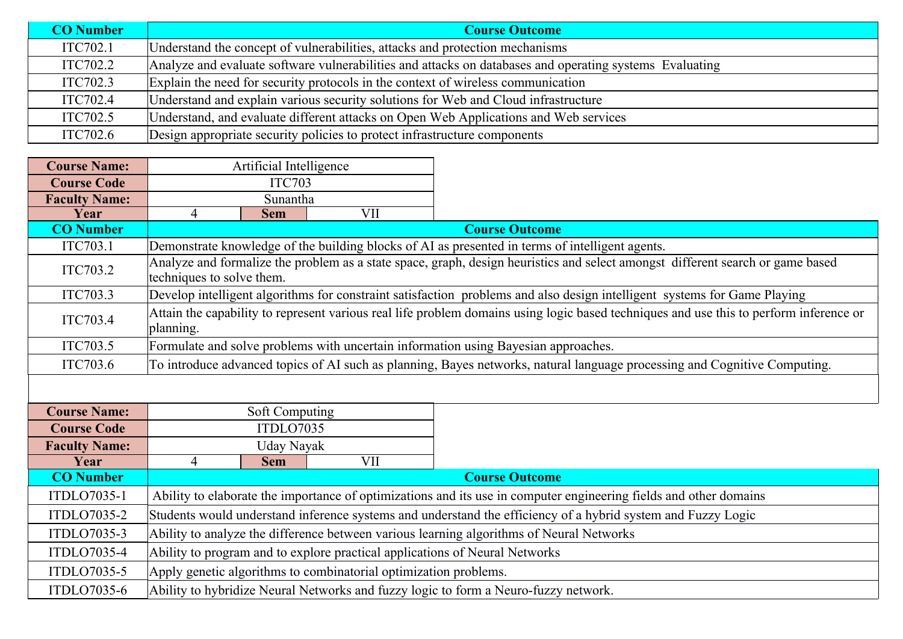| <b>CO</b> Number | <b>Course Outcome</b>                                                                                   |
|------------------|---------------------------------------------------------------------------------------------------------|
| ITC702.1         | Understand the concept of vulnerabilities, attacks and protection mechanisms                            |
| ITC702.2         | Analyze and evaluate software vulnerabilities and attacks on databases and operating systems Evaluating |
| ITC702.3         | Explain the need for security protocols in the context of wireless communication                        |
| ITC702.4         | Understand and explain various security solutions for Web and Cloud infrastructure                      |
| ITC702.5         | Understand, and evaluate different attacks on Open Web Applications and Web services                    |
| ITC702.6         | Design appropriate security policies to protect infrastructure components                               |

| <b>Course Name:</b>  |                                                                                                                   | Artificial Intelligence |                                                                  |                                                                                                                                        |  |
|----------------------|-------------------------------------------------------------------------------------------------------------------|-------------------------|------------------------------------------------------------------|----------------------------------------------------------------------------------------------------------------------------------------|--|
| <b>Course Code</b>   | <b>ITC703</b>                                                                                                     |                         |                                                                  |                                                                                                                                        |  |
| <b>Faculty Name:</b> | Sunantha                                                                                                          |                         |                                                                  |                                                                                                                                        |  |
| Year                 | $\overline{4}$                                                                                                    | <b>Sem</b>              | VII                                                              |                                                                                                                                        |  |
| <b>CO Number</b>     |                                                                                                                   |                         |                                                                  | <b>Course Outcome</b>                                                                                                                  |  |
| ITC703.1             |                                                                                                                   |                         |                                                                  | Demonstrate knowledge of the building blocks of AI as presented in terms of intelligent agents.                                        |  |
| ITC703.2             | techniques to solve them.                                                                                         |                         |                                                                  | Analyze and formalize the problem as a state space, graph, design heuristics and select amongst different search or game based         |  |
| ITC703.3             |                                                                                                                   |                         |                                                                  | Develop intelligent algorithms for constraint satisfaction problems and also design intelligent systems for Game Playing               |  |
| ITC703.4             | planning.                                                                                                         |                         |                                                                  | Attain the capability to represent various real life problem domains using logic based techniques and use this to perform inference or |  |
| ITC703.5             |                                                                                                                   |                         |                                                                  | Formulate and solve problems with uncertain information using Bayesian approaches.                                                     |  |
| ITC703.6             |                                                                                                                   |                         |                                                                  | To introduce advanced topics of AI such as planning, Bayes networks, natural language processing and Cognitive Computing.              |  |
|                      |                                                                                                                   |                         |                                                                  |                                                                                                                                        |  |
| <b>Course Name:</b>  |                                                                                                                   | Soft Computing          |                                                                  |                                                                                                                                        |  |
| <b>Course Code</b>   |                                                                                                                   | ITDLO7035               |                                                                  |                                                                                                                                        |  |
| <b>Faculty Name:</b> |                                                                                                                   | Uday Nayak              |                                                                  |                                                                                                                                        |  |
| Year                 | $\overline{4}$                                                                                                    | <b>Sem</b>              | VII                                                              |                                                                                                                                        |  |
| <b>CO</b> Number     |                                                                                                                   |                         |                                                                  | <b>Course Outcome</b>                                                                                                                  |  |
| ITDLO7035-1          | Ability to elaborate the importance of optimizations and its use in computer engineering fields and other domains |                         |                                                                  |                                                                                                                                        |  |
| ITDLO7035-2          | Students would understand inference systems and understand the efficiency of a hybrid system and Fuzzy Logic      |                         |                                                                  |                                                                                                                                        |  |
| ITDLO7035-3          | Ability to analyze the difference between various learning algorithms of Neural Networks                          |                         |                                                                  |                                                                                                                                        |  |
| ITDLO7035-4          |                                                                                                                   |                         |                                                                  | Ability to program and to explore practical applications of Neural Networks                                                            |  |
| ITDLO7035-5          |                                                                                                                   |                         | Apply genetic algorithms to combinatorial optimization problems. |                                                                                                                                        |  |
| ITDLO7035-6          |                                                                                                                   |                         |                                                                  | Ability to hybridize Neural Networks and fuzzy logic to form a Neuro-fuzzy network.                                                    |  |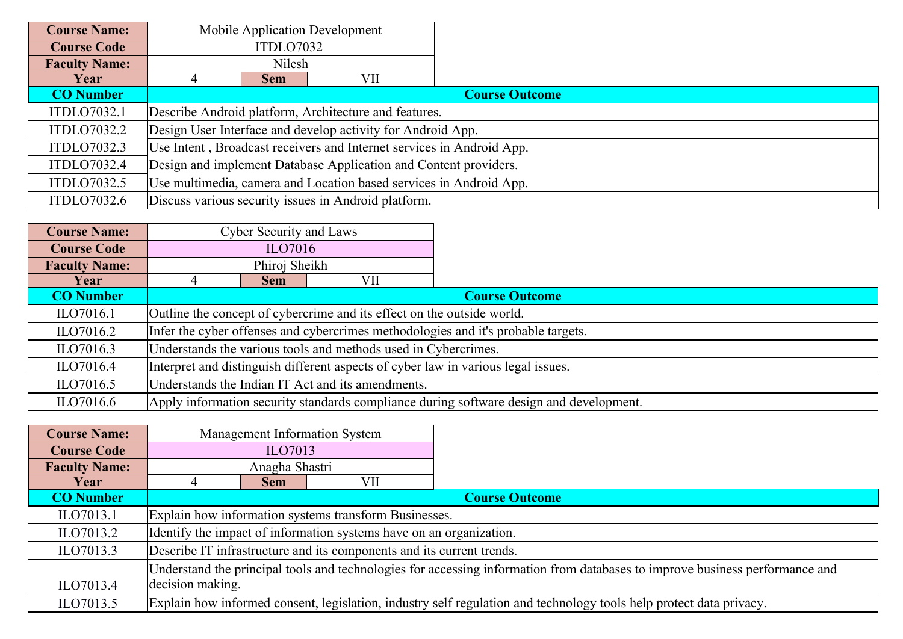| <b>Course Name:</b>  |                                                                    |                                                                       | Mobile Application Development                              |                       |  |  |  |
|----------------------|--------------------------------------------------------------------|-----------------------------------------------------------------------|-------------------------------------------------------------|-----------------------|--|--|--|
| <b>Course Code</b>   |                                                                    | ITDLO7032                                                             |                                                             |                       |  |  |  |
| <b>Faculty Name:</b> |                                                                    | Nilesh                                                                |                                                             |                       |  |  |  |
| Year                 |                                                                    | <b>Sem</b>                                                            | VII                                                         |                       |  |  |  |
| <b>CO</b> Number     |                                                                    |                                                                       |                                                             | <b>Course Outcome</b> |  |  |  |
| ITDLO7032.1          |                                                                    |                                                                       | Describe Android platform, Architecture and features.       |                       |  |  |  |
| ITDLO7032.2          |                                                                    |                                                                       | Design User Interface and develop activity for Android App. |                       |  |  |  |
| <b>ITDLO7032.3</b>   |                                                                    | Use Intent, Broadcast receivers and Internet services in Android App. |                                                             |                       |  |  |  |
| ITDLO7032.4          | Design and implement Database Application and Content providers.   |                                                                       |                                                             |                       |  |  |  |
| ITDLO7032.5          | Use multimedia, camera and Location based services in Android App. |                                                                       |                                                             |                       |  |  |  |
| ITDLO7032.6          |                                                                    |                                                                       | Discuss various security issues in Android platform.        |                       |  |  |  |

| <b>Course Name:</b>  | <b>Cyber Security and Laws</b>                                                    |                                                                        |  |                                                                                         |  |  |
|----------------------|-----------------------------------------------------------------------------------|------------------------------------------------------------------------|--|-----------------------------------------------------------------------------------------|--|--|
| <b>Course Code</b>   |                                                                                   | ILO7016                                                                |  |                                                                                         |  |  |
| <b>Faculty Name:</b> |                                                                                   | Phiroj Sheikh                                                          |  |                                                                                         |  |  |
| Year                 | VII<br><b>Sem</b>                                                                 |                                                                        |  |                                                                                         |  |  |
| <b>CO</b> Number     |                                                                                   | <b>Course Outcome</b>                                                  |  |                                                                                         |  |  |
| ILO7016.1            |                                                                                   | Outline the concept of cybercrime and its effect on the outside world. |  |                                                                                         |  |  |
| ILO7016.2            | Infer the cyber offenses and cybercrimes methodologies and it's probable targets. |                                                                        |  |                                                                                         |  |  |
| ILO7016.3            | Understands the various tools and methods used in Cybercrimes.                    |                                                                        |  |                                                                                         |  |  |
| ILO7016.4            | Interpret and distinguish different aspects of cyber law in various legal issues. |                                                                        |  |                                                                                         |  |  |
| ILO7016.5            | Understands the Indian IT Act and its amendments.                                 |                                                                        |  |                                                                                         |  |  |
| ILO7016.6            |                                                                                   |                                                                        |  | Apply information security standards compliance during software design and development. |  |  |

| <b>Course Name:</b>  |                                                                                                                              |                                                                     | Management Information System |                                                                                                                     |  |  |
|----------------------|------------------------------------------------------------------------------------------------------------------------------|---------------------------------------------------------------------|-------------------------------|---------------------------------------------------------------------------------------------------------------------|--|--|
| <b>Course Code</b>   | ILO7013                                                                                                                      |                                                                     |                               |                                                                                                                     |  |  |
| <b>Faculty Name:</b> | Anagha Shastri                                                                                                               |                                                                     |                               |                                                                                                                     |  |  |
| Year                 |                                                                                                                              | <b>Sem</b>                                                          | VII                           |                                                                                                                     |  |  |
| <b>CO</b> Number     |                                                                                                                              | <b>Course Outcome</b>                                               |                               |                                                                                                                     |  |  |
| ILO7013.1            |                                                                                                                              | Explain how information systems transform Businesses.               |                               |                                                                                                                     |  |  |
| ILO7013.2            |                                                                                                                              | Identify the impact of information systems have on an organization. |                               |                                                                                                                     |  |  |
| ILO7013.3            | Describe IT infrastructure and its components and its current trends.                                                        |                                                                     |                               |                                                                                                                     |  |  |
|                      | Understand the principal tools and technologies for accessing information from databases to improve business performance and |                                                                     |                               |                                                                                                                     |  |  |
| ILO7013.4            | decision making.                                                                                                             |                                                                     |                               |                                                                                                                     |  |  |
| ILO7013.5            |                                                                                                                              |                                                                     |                               | Explain how informed consent, legislation, industry self regulation and technology tools help protect data privacy. |  |  |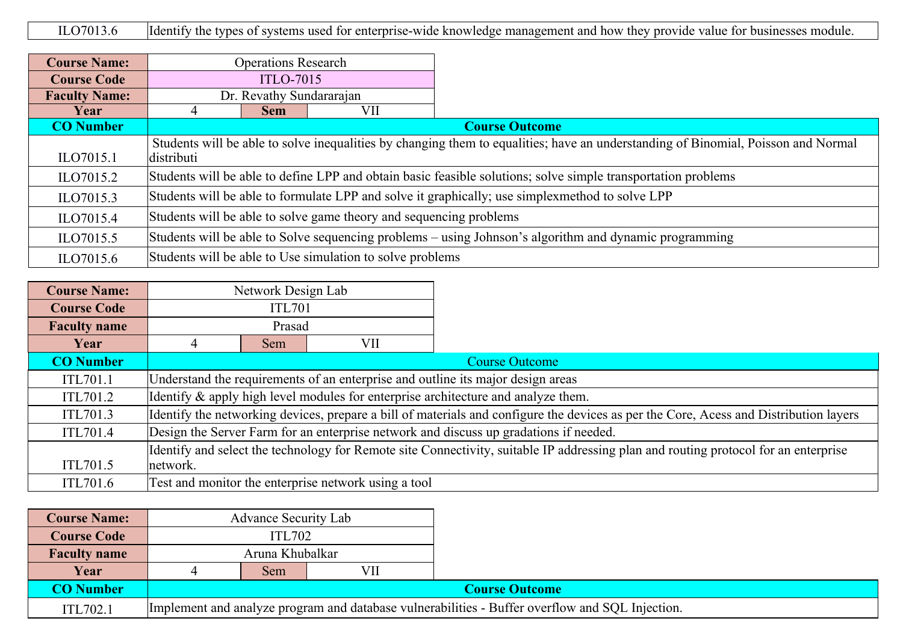ILO7013.6 Identify the types of systems used for enterprise-wide knowledge management and how they provide value for businesses module.

| <b>Course Name:</b>  | <b>Operations Research</b>                                                                                    |                                                                                                                                   |     |                       |  |  |
|----------------------|---------------------------------------------------------------------------------------------------------------|-----------------------------------------------------------------------------------------------------------------------------------|-----|-----------------------|--|--|
| <b>Course Code</b>   | <b>ITLO-7015</b>                                                                                              |                                                                                                                                   |     |                       |  |  |
| <b>Faculty Name:</b> | Dr. Revathy Sundararajan                                                                                      |                                                                                                                                   |     |                       |  |  |
| Year                 | 4                                                                                                             | <b>Sem</b>                                                                                                                        | VII |                       |  |  |
| <b>CO</b> Number     |                                                                                                               |                                                                                                                                   |     | <b>Course Outcome</b> |  |  |
| ILO7015.1            | distributi                                                                                                    | Students will be able to solve inequalities by changing them to equalities; have an understanding of Binomial, Poisson and Normal |     |                       |  |  |
| ILO7015.2            | Students will be able to define LPP and obtain basic feasible solutions; solve simple transportation problems |                                                                                                                                   |     |                       |  |  |
| ILO7015.3            | Students will be able to formulate LPP and solve it graphically; use simplexmethod to solve LPP               |                                                                                                                                   |     |                       |  |  |
| ILO7015.4            | Students will be able to solve game theory and sequencing problems                                            |                                                                                                                                   |     |                       |  |  |
| ILO7015.5            | Students will be able to Solve sequencing problems – using Johnson's algorithm and dynamic programming        |                                                                                                                                   |     |                       |  |  |
| ILO7015.6            |                                                                                                               | Students will be able to Use simulation to solve problems                                                                         |     |                       |  |  |

| <b>Course Name:</b> |                                                                                                                                       | Network Design Lab |                                                      |                                                                                   |  |
|---------------------|---------------------------------------------------------------------------------------------------------------------------------------|--------------------|------------------------------------------------------|-----------------------------------------------------------------------------------|--|
| <b>Course Code</b>  | <b>ITL701</b>                                                                                                                         |                    |                                                      |                                                                                   |  |
| <b>Faculty name</b> | Prasad                                                                                                                                |                    |                                                      |                                                                                   |  |
| Year                | VII<br>Sem                                                                                                                            |                    |                                                      |                                                                                   |  |
| <b>CO</b> Number    |                                                                                                                                       |                    |                                                      | <b>Course Outcome</b>                                                             |  |
| <b>ITL701.1</b>     |                                                                                                                                       |                    |                                                      | Understand the requirements of an enterprise and outline its major design areas   |  |
| ITL701.2            |                                                                                                                                       |                    |                                                      | Identify & apply high level modules for enterprise architecture and analyze them. |  |
| ITL701.3            | Identify the networking devices, prepare a bill of materials and configure the devices as per the Core, Acess and Distribution layers |                    |                                                      |                                                                                   |  |
| ITL701.4            | Design the Server Farm for an enterprise network and discuss up gradations if needed.                                                 |                    |                                                      |                                                                                   |  |
|                     | Identify and select the technology for Remote site Connectivity, suitable IP addressing plan and routing protocol for an enterprise   |                    |                                                      |                                                                                   |  |
| ITL701.5            | network.                                                                                                                              |                    |                                                      |                                                                                   |  |
| ITL701.6            |                                                                                                                                       |                    | Test and monitor the enterprise network using a tool |                                                                                   |  |

| <b>Course Name:</b> | <b>Advance Security Lab</b>                                                                     |                 |  |  |  |  |
|---------------------|-------------------------------------------------------------------------------------------------|-----------------|--|--|--|--|
| <b>Course Code</b>  |                                                                                                 | <b>ITL702</b>   |  |  |  |  |
| <b>Faculty name</b> |                                                                                                 | Aruna Khubalkar |  |  |  |  |
| Year                | VII<br>Sem                                                                                      |                 |  |  |  |  |
| <b>CO Number</b>    | <b>Course Outcome</b>                                                                           |                 |  |  |  |  |
| ITL702.1            | Implement and analyze program and database vulnerabilities - Buffer overflow and SQL Injection. |                 |  |  |  |  |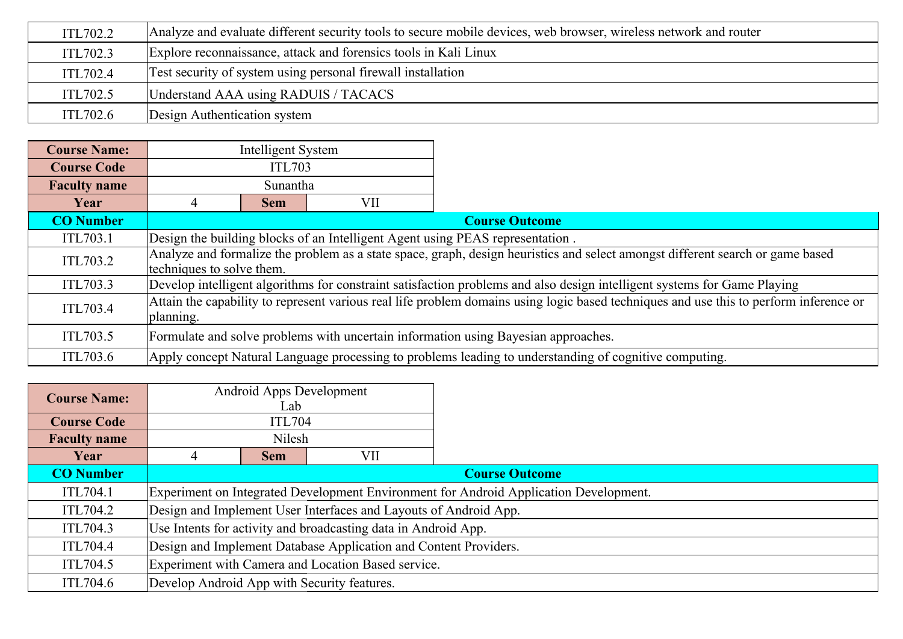| ITL702.2 | Analyze and evaluate different security tools to secure mobile devices, web browser, wireless network and router |  |  |  |  |
|----------|------------------------------------------------------------------------------------------------------------------|--|--|--|--|
| ITL702.3 | Explore reconnaissance, attack and forensics tools in Kali Linux                                                 |  |  |  |  |
| ITL702.4 | Test security of system using personal firewall installation                                                     |  |  |  |  |
| ITL702.5 | Understand AAA using RADUIS / TACACS                                                                             |  |  |  |  |
| ITL702.6 | Design Authentication system                                                                                     |  |  |  |  |

| <b>Course Name:</b> | Intelligent System                                                                                                                                          |                                                                               |  |                                                                                                        |  |
|---------------------|-------------------------------------------------------------------------------------------------------------------------------------------------------------|-------------------------------------------------------------------------------|--|--------------------------------------------------------------------------------------------------------|--|
| <b>Course Code</b>  | <b>ITL703</b>                                                                                                                                               |                                                                               |  |                                                                                                        |  |
| <b>Faculty name</b> | Sunantha                                                                                                                                                    |                                                                               |  |                                                                                                        |  |
| Year                | VII<br><b>Sem</b>                                                                                                                                           |                                                                               |  |                                                                                                        |  |
| <b>CO</b> Number    |                                                                                                                                                             |                                                                               |  | <b>Course Outcome</b>                                                                                  |  |
| ITL703.1            |                                                                                                                                                             | Design the building blocks of an Intelligent Agent using PEAS representation. |  |                                                                                                        |  |
| ITL703.2            | Analyze and formalize the problem as a state space, graph, design heuristics and select amongst different search or game based<br>techniques to solve them. |                                                                               |  |                                                                                                        |  |
| ITL703.3            | Develop intelligent algorithms for constraint satisfaction problems and also design intelligent systems for Game Playing                                    |                                                                               |  |                                                                                                        |  |
| ITL703.4            | Attain the capability to represent various real life problem domains using logic based techniques and use this to perform inference or<br>planning.         |                                                                               |  |                                                                                                        |  |
| ITL703.5            | Formulate and solve problems with uncertain information using Bayesian approaches.                                                                          |                                                                               |  |                                                                                                        |  |
| ITL703.6            |                                                                                                                                                             |                                                                               |  | Apply concept Natural Language processing to problems leading to understanding of cognitive computing. |  |

| <b>Course Name:</b> | Android Apps Development<br>Lab                                  |                                                                                       |  |  |  |  |
|---------------------|------------------------------------------------------------------|---------------------------------------------------------------------------------------|--|--|--|--|
| <b>Course Code</b>  |                                                                  | <b>ITL704</b>                                                                         |  |  |  |  |
| <b>Faculty name</b> | Nilesh                                                           |                                                                                       |  |  |  |  |
| Year                | VII<br><b>Sem</b>                                                |                                                                                       |  |  |  |  |
| <b>CO</b> Number    |                                                                  | <b>Course Outcome</b>                                                                 |  |  |  |  |
| ITL704.1            |                                                                  | Experiment on Integrated Development Environment for Android Application Development. |  |  |  |  |
| ITL704.2            | Design and Implement User Interfaces and Layouts of Android App. |                                                                                       |  |  |  |  |
| ITL704.3            | Use Intents for activity and broadcasting data in Android App.   |                                                                                       |  |  |  |  |
| ITL704.4            | Design and Implement Database Application and Content Providers. |                                                                                       |  |  |  |  |
| ITL704.5            | Experiment with Camera and Location Based service.               |                                                                                       |  |  |  |  |
| ITL704.6            | Develop Android App with Security features.                      |                                                                                       |  |  |  |  |